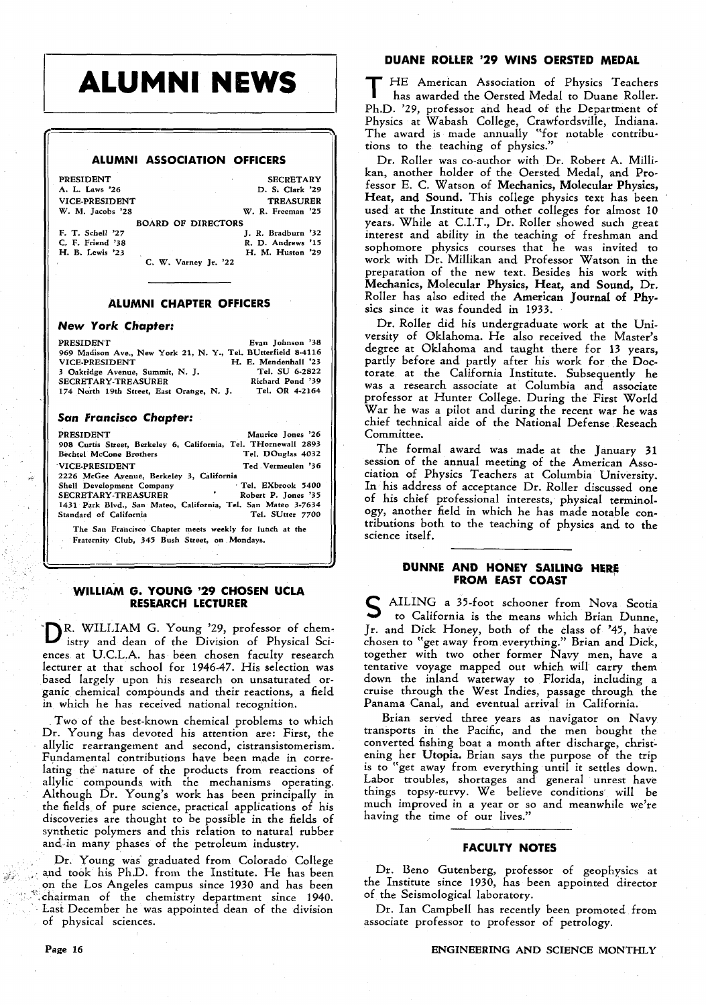# **ALUMNI NEWS**

#### **ALUMNI ASSOCIATION OFFICERS**

| <b>PRESIDENT</b>          | <b>SECRETARY</b>   |  |
|---------------------------|--------------------|--|
| A. L. Laws '26            | D. S. Clark '29    |  |
| VICE-PRESIDENT            | <b>TREASURER</b>   |  |
| W. M. Jacobs '28          | W. R. Freeman '25  |  |
| <b>BOARD OF DIRECTORS</b> |                    |  |
| F. T. Schell '27          | J. R. Bradburn '32 |  |
| C. F. Friend '38          | R. D. Andrews '15  |  |
| H. B. Lewis '23           | H. M. Huston '29   |  |
| C. W. Varney Jr. '22      |                    |  |

# **ALUMNI CHAPTER OFFICERS**

#### **New York Chapter:**

| PRESIDENT                                                     | Evan Johnson '38     |
|---------------------------------------------------------------|----------------------|
| 969 Madison Ave., New York 21, N. Y., Tel. BUtterfield 8-4116 |                      |
| <b>VICE PRESIDENT</b>                                         | H. E. Mendenhall '23 |
| 3 Oakridge Avenue, Summit, N. J.                              | Tel. SU 6-2822       |
| SECRETARY-TREASURER                                           | Richard Pond '39     |
| 174 North 19th Street, East Orange, N. J.                     | Tel. OR 4-2164       |

#### **Sun Francisco Chapter:**

| <b>PRESIDENT</b>                                                                                  | Maurice Jones '26   |
|---------------------------------------------------------------------------------------------------|---------------------|
| 908 Curtis Street, Berkeley 6, California, Tel. THornewall 2893<br><b>Bechtel McCone Brothers</b> | Tel. DOuglas 4032   |
| 'VICE-PRESIDENT                                                                                   | Ted Vermeulen '36   |
| 2226 McGee Ayenue, Berkeley 3, California                                                         |                     |
| Shell Development Company                                                                         | · Tel. EXbrook 5400 |
| SECRETARY-TREASURER                                                                               | Robert P. Jones '35 |
| 1431 Park Blvd., San Mateo, California, Tel. San Mateo 3-7634                                     |                     |
| Standard of California                                                                            | Tel. SUtter 7700    |
|                                                                                                   |                     |

**The San Francisco Chapter meets weekly for lunch at the Fraternity Club, 345 Bush Street, on Mondays.** 

#### **WILLIAM G. YOUNG '29 CHOSEN UCLA RESEARCH LECTURER**

D R. WILLIAM *G.* Young '29, professor of chem-istry and dean of the Division of Physical Sciences at U.C.L.A. has been chosen faculty research lecturer at that school for 1946-47. His selection was based largely upon his research on unsaturated organic chemical compounds and their reactions, a field in which he has received national recognition.

Two of the best-known chemical problems to which Dr. Young has devoted his attention are: First, the allylic rearrangement and second, cistransistomerism. Fundamental contributions have been made in correlating the nature of the products from reactions of allylic compounds with the mechanisms operating. Although Dr. Young's work has been principally in the fields of pure science, practical applications of his discoveries are thought to be possible in the fields of synthetic polymers and this relation to natural rubber and in many phases of the petroleum industry.

Dr. Young was graduated from Colorado College and took his Ph.D. from the Institute. He has been on the Los Angeles campus since 1930 and has been 'chairman of the chemistry department since 1940. Last December he was appointed dean of the division of physical sciences.

# **DUANE ROLLER '29 WINS OERSTED MEDAL**

HE American Association of Physics Teachers<br>has awarded the Oersted Medal to Duane Roller. Ph.D. '29, professor and head of the Department of Physics at Wabash College, Crawfordsville, Indiana. The award is made annually "for notable contributions to the teaching of physics."

Dr. Roller was co-author with Dr. Robert A. Millikan, another holder of the Oersted Medal, and Professor E. C. Watson of Mechanics, Molecular Physics, Heat, and Sound. This college physics text has been used at the Institute and other colleges for almost 10 years. While at C.I.T., Dr. Roller showed such great interest and ability in the teaching of freshman and sophomore physics courses that he was invited to work with Dr. Millikan and Professor Watson in the preparation of the new text. Besides his work with Mechanics, Molecular Physics, Heat, and Sound, Dr. Roller has also edited the American Journal of Physics since it was founded in 1933.

Dr. Roller did his undergraduate work at the University of Oklahoma. He also received the Master's degree at Oklahoma and taught there for 13 years, partly before and partly after his work for the Doctorate at the California Institute. Subsequently he was a research associate at Columbia and associate professor at Hunter College. During the First World War he was a pilot and during the recent war he was chief technical aide of the National Defense Reseach Committee.

The formal award was made at the January **31**  session of the annual meeting of the American Association of Physics Teachers at Columbia University. In his address of acceptance Dr. Roller discussed one of his chief professional interests, physical terminology, another field in which he has made notable contributions both to the teaching of physics and to the science itself.

#### **DUNNE AND HONEY SAILING HERE FROM EAST COAST**

**S** AILING a 35-foot schooner from Nova Scotia<br> **S** <sup>to</sup> California is the means which Brian Dunne, Jr. and Dick Honey, both of the class of '45, have chosen to "get away from everything." Brian and Dick, together with two other former Navy men, have a tentative voyage mapped out which will carry them down the inland waterway to Florida, including a cruise through the West Indies, passage through the Panama Canal, and eventual arrival in California.

Brian served three years as navigator on Navy transports in the Pacific, and the men bought the converted fishing boat a month after discharge, christening her Utopia. Brian says the purpose of the trip is to "get away from everything until it settles down. Labor troubles, shortages and general unrest have things topsy-turvy. We believe conditions will be much improved in a year or so and meanwhile we're having the time of our lives."

#### **FACULTY NOTES**

Dr. Beno Gutenberg, professor of geophysics at the Institute since 1930, has been appointed director of the Seismological laboratory.

Dr. Ian Campbell has recently been promoted from associate professor to professor of petrology.

#### **Page 16 ENGINEERING AND SCIENCE MONTHLY**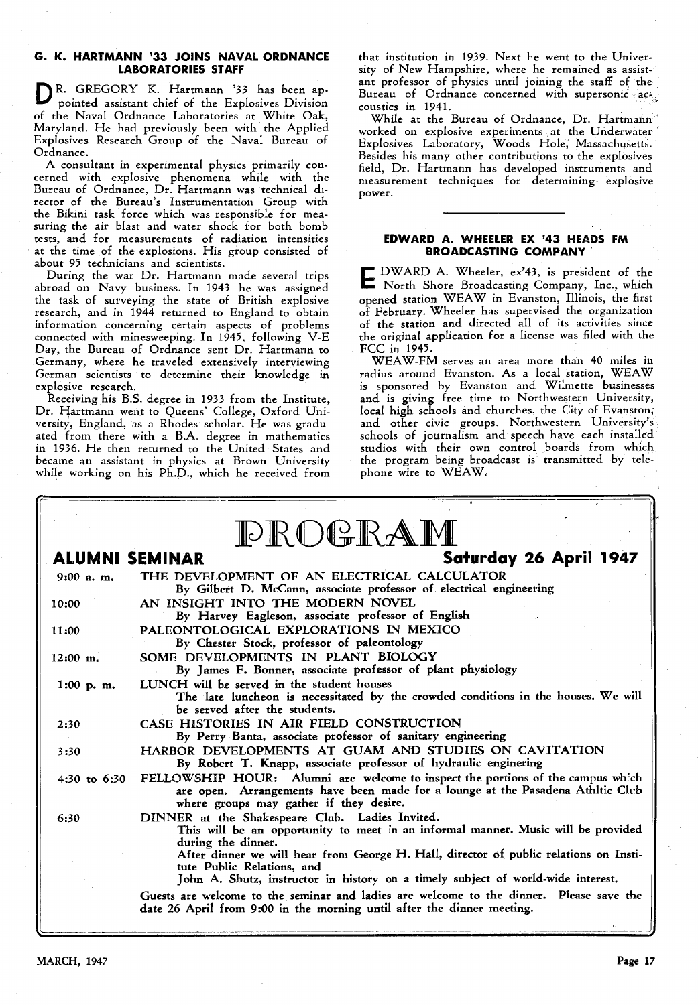#### **G. K. HARTMANN '33 JOINS NAVAL ORDNANCE LABORATORIES STAFF**

D R. GREGORY K. Hartmann '33 has been appointed assistant chief of the Explosives Division of the Naval Ordnance Laboratories at White Oak, Maryland. He had previously been with the Applied Explosives Research Group of the Naval Bureau of Ordnance.

A consultant in experimental physics primarily concerned with explosive phenomena while with the Bureau of Ordnance, Dr. Hartmann was technical director of the Bureau's Instrumentation Group with the Bikini task force which was responsible for measuring the air blast and water shock for both bomb tests, and for measurements of radiation intensities at the time of the explosions. His group consisted of about 95 technicians and scientists.

During the war Dr. Hartmann made several trips abroad on Navy business. In 1943 he was assigned the task of surveying the state of British explosive research, and in 1944 returned to England to obtain information concerning certain aspects of problems connected with minesweeping. In 1945, following V-E Day, the Bureau of Ordnance sent Dr. Hartmann to Germany, where he traveled extensively interviewing German scientists to determine their knowledge in explosive research.

Receiving his B.S. degree in 1933 from the Institute, Dr. Hartmann went to Queens' College, Oxford University, England, as a Rhodes scholar. He was graduated from there with a B.A. degree in mathematics in 1936. He then returned to the United States and became an assistant in physics at Brown University while working on his Ph.D., which he received from

that institution in 1939. Next he went to the University of New Hampshire, where he remained as assistant professor of physics until joining the staff of the Bureau of Ordnance concerned with supersonic act. coustics in 1941.

While at the Bureau of Ordnance, Dr. Hartmann worked on explosive experiments at the Underwater Explosives Laboratory, Woods Hole, Massachusetts. Besides his many other contributions to the explosives field, Dr. Hartmann has developed instruments and measurement techniques for determining explosive power.

# **EDWARD A. WHEELER EX '43 HEADS FM BROADCASTING COMPANY**

**E** DWARD A. Wheeler, ex'43, is president of the North Shore Broadcasting Company, Inc., which opened station WEAW in Evanston, Illinois, the first of February. Wheeler has supervised the organization of the station and directed all of its activities since the original application for a license was filed with the FCC in 1945.

WEAW-FM serves an area more than 40 miles in radius around Evanston. As a local station, WEAW is sponsored by Evanston and Wilmette businesses and is giving free time to Northwestern University, local high schools and churches, the City of Evanston; and other civic groups. Northwestern University's schools of journalism and speech have each installed studios with their own control boards from which the program being broadcast is transmitted by telephone wire to WEAW.

| PROGRAM               |                                                                                                                                                                                                                            |  |
|-----------------------|----------------------------------------------------------------------------------------------------------------------------------------------------------------------------------------------------------------------------|--|
| <b>ALUMNI SEMINAR</b> | Saturday 26 April 1947                                                                                                                                                                                                     |  |
| $9:00$ a.m.           | THE DEVELOPMENT OF AN ELECTRICAL CALCULATOR<br>By Gilbert D. McCann, associate professor of electrical engineering                                                                                                         |  |
| 10:00                 | AN INSIGHT INTO THE MODERN NOVEL<br>By Harvey Eagleson, associate professor of English                                                                                                                                     |  |
| 11:00                 | PALEONTOLOGICAL EXPLORATIONS IN MEXICO<br>By Chester Stock, professor of paleontology                                                                                                                                      |  |
| $12:00 \; \text{m}$ . | SOME DEVELOPMENTS IN PLANT BIOLOGY<br>By James F. Bonner, associate professor of plant physiology                                                                                                                          |  |
| $1:00$ p.m.           | LUNCH will be served in the student houses<br>The late luncheon is necessitated by the crowded conditions in the houses. We will<br>be served after the students.                                                          |  |
| 2:30                  | CASE HISTORIES IN AIR FIELD CONSTRUCTION<br>By Perry Banta, associate professor of sanitary engineering                                                                                                                    |  |
| 3:30                  | HARBOR DEVELOPMENTS AT GUAM AND STUDIES ON CAVITATION<br>By Robert T. Knapp, associate professor of hydraulic enginering                                                                                                   |  |
|                       | 4:30 to 6:30 FELLOWSHIP HOUR: Alumni are welcome to inspect the portions of the campus which<br>are open. Arrangements have been made for a lounge at the Pasadena Athltic Club<br>where groups may gather if they desire. |  |
| 6:30                  | DINNER at the Shakespeare Club. Ladies Invited.<br>This will be an opportunity to meet in an informal manner. Music will be provided<br>during the dinner.                                                                 |  |
|                       | After dinner we will hear from George H. Hall, director of public relations on Insti-<br>tute Public Relations, and<br>John A. Shutz, instructor in history on a timely subject of world-wide interest.                    |  |
|                       | Guests are welcome to the seminar and ladies are welcome to the dinner. Please save the<br>date 26 April from 9:00 in the morning until after the dinner meeting.                                                          |  |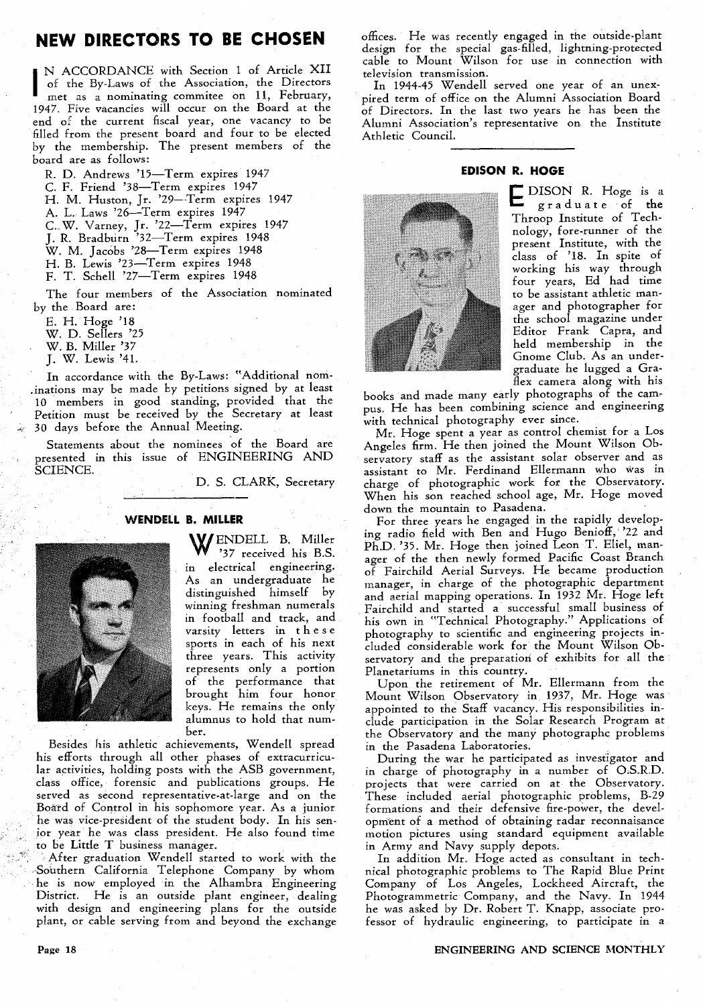# **NEW DIRECTORS TO BE CHOSEN**

I N ACCORDANCE with Section 1 of Article XI1 met as a nominating commitee on 11, February, of the By-Laws of the Association, the Directors 1947. Five vacancies will occur on the Board at the end of the current fiscal year, one vacancy to be filled from the present board and four to be elected by the membership. The present members of the board are as follows:

R. D. Andrews '15-Term expires 1947 C. F. Friend '38-Term expires 1947 H. M. Huston, Jr. '29-Term expires 1947 A. L. Laws '26-Term expires 1947 C..W. Varney, Jr. '22-Term expires 1947 J. R. Bradburn '32-Term expires 1948 W. M. Jacobs '28-Term expires 1948 H. B. Lewis '23-Term expires 1948 F. T. Schell '27-Term expires 1948 The four members of the Association nominated

by the Board are: E. H. Hoge '18 W. D. Sellers '25 W. B. Miller '37 J. W. Lewis '41.

In accordance with the By-Laws: "Additional nom- ,inations may be made **by** petitions signed by at least 10 members in good standing, provided that the Petition must be received by the Secretary at least 30 days before the Annual Meeting.

Statements about the nominees of the Board are presented in this issue of ENGINEERING AND SCIENCE.

D. S. CLARK, Secretary

#### **WENDELL B. MILLER**



ENDELL B. Miller '37 received his B.S. in electrical engineering. As an undergraduate he distinguished himself by winning freshman numerals in football and track, and varsity letters in t h e s e sports in each of his next three years. This activity represents only a portion of the performance that brought him four honor keys. He remains the only alumnus to hold that number.

Besides his athletic achievements, Wendell spread his efforts through all other phases of extracurricular activities, holding posts with the ASB government, class office, forensic and publications groups. He served as second representative-at-large and on the Board of Control in his sophomore year. As a junior he was vice-president of the student body. In his senior year he was class president. He also found time to be Little T business manager.<br>After graduation Wendell started to work with the

Southern California Telephone Company by whom he is now employed in the Alhambra Engineering District. He is an outside plant engineer, dealing with design and engineering plans for the outside plant, or cable serving from and beyond the exchange

offices. He was recently engaged in the outside-plant design for the special gas-filled, lightning-protected cable to Mount Wilson for use in connection with television transmission.

In 1944-45 Wendell served one year of an unexpired term of office on the Alumni Association Board of Directors. In the last two years he has been the Alumni Association's representative on the Institute Athletic Council.

### **EDISON R. HOGE**



DISON R. Hoge is a graduate of the - Throop Institute of Technology, fore-runner of the present Institute, with the class of '18. In spite of working his way through four years, Ed had time to be assistant athletic manager and photographer for the school magazine under Editor Frank Capra, and held membership in the Gnome Club. As an undergraduate he lugged a Graflex camera along with his

books and made many early photographs of the campus. He has been combining science and engineering with technical photography ever since.

Mr. Hoge spent a year as control chemist for a Los Angeles firm. He then joined the Mount Wilson Observatory staff as the assistant solar observer and as assistant to Mr. Ferdinand Ellermann who was in charge of photographic work for the Observatory. When his son reached school age, Mr. Hoge moved down the mountain to Pasadena.

For three years he engaged in the rapidly developing radio field with Ben and Hugo Benioff, '22 and Ph.D. '35. Mr. Hoge then joined Leon T. Eliel, manager of the then newly formed Pacific Coast Branch of Fairchild Aerial Surveys. He became production manager, in charge of the photographic department and aerial mapping operations. In 1932 Mr. Hoge left Fairchild and started a successful small business of his own in "Technical Photography." Applications of photography to scientific and engineering projects included considerable work for the Mount Wilson Observatory and the preparation of exhibits for all the Planetariums in this country.

Upon the retirement of Mr. Ellermann from the Mount Wilson Observatory in 1937, Mr. Hoge was appointed to the Staff vacancy. His responsibilities include participation in the Solar Research Program at the Observatory and the many photographc problems in the Pasadena Laboratories.

During the war he participated as investigator and in charge of photography in a number of O.S.R.D. projects that were carried on at the Observatory. These included aerial photographic problems, B-29 formations and their defensive fire-power, the developm'ent of a method of obtaining radar reconnaisance motion pictures using standard equipment available in Army and Navy supply depots.

In addition Mr. Hoge acted as consultant in technical photographic problems to The Rapid Blue Print Company of Los Angeles, Lockheed Aircraft, the Photogrammetric Company, and the Navy. In 1944 he was asked by Dr. Robert T. Knapp, associate professor of hydraulic engineering, to participate in a

#### **Page 18 ENGINEERING AND SCIENCE MONTHLY**